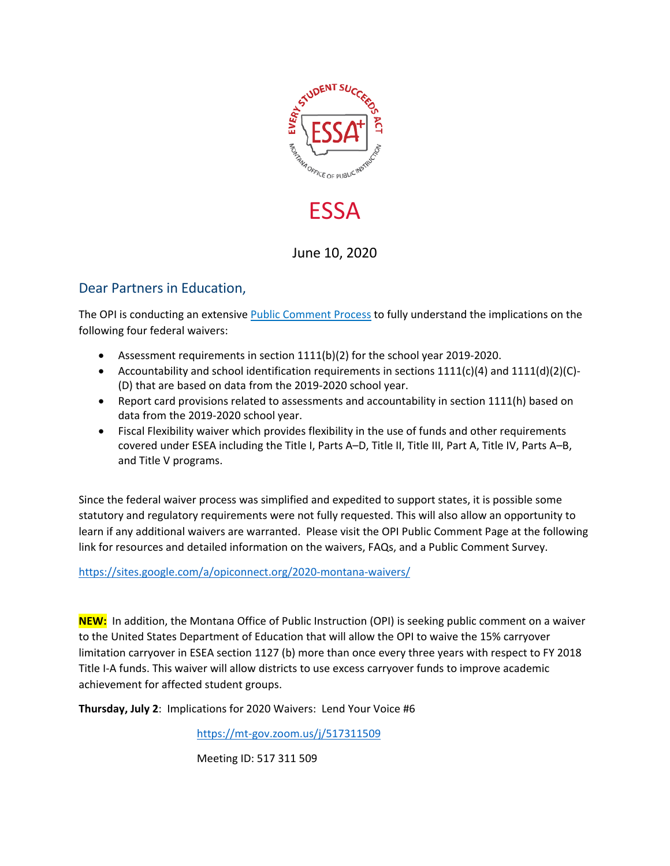

### June 10, 2020

#### Dear Partners in Education,

The OPI is conducting an extensive Public Comment Process to fully understand the implications on the following four federal waivers:

- Assessment requirements in section 1111(b)(2) for the school year 2019-2020.
- Accountability and school identification requirements in sections  $1111(c)(4)$  and  $1111(d)(2)(C)$ -(D) that are based on data from the 2019-2020 school year.
- Report card provisions related to assessments and accountability in section 1111(h) based on data from the 2019-2020 school year.
- Fiscal Flexibility waiver which provides flexibility in the use of funds and other requirements covered under ESEA including the Title I, Parts A–D, Title II, Title III, Part A, Title IV, Parts A–B, and Title V programs.

Since the federal waiver process was simplified and expedited to support states, it is possible some statutory and regulatory requirements were not fully requested. This will also allow an opportunity to learn if any additional waivers are warranted. Please visit the OPI Public Comment Page at the following link for resources and detailed information on the waivers, FAQs, and a Public Comment Survey.

<https://sites.google.com/a/opiconnect.org/2020-montana-waivers/>

**NEW:** In addition, the Montana Office of Public Instruction (OPI) is seeking public comment on a waiver to the United States Department of Education that will allow the OPI to waive the 15% carryover limitation carryover in ESEA section 1127 (b) more than once every three years with respect to FY 2018 Title I-A funds. This waiver will allow districts to use excess carryover funds to improve academic achievement for affected student groups.

**Thursday, July 2**: Implications for 2020 Waivers: Lend Your Voice #6

<https://mt-gov.zoom.us/j/517311509>

Meeting ID: 517 311 509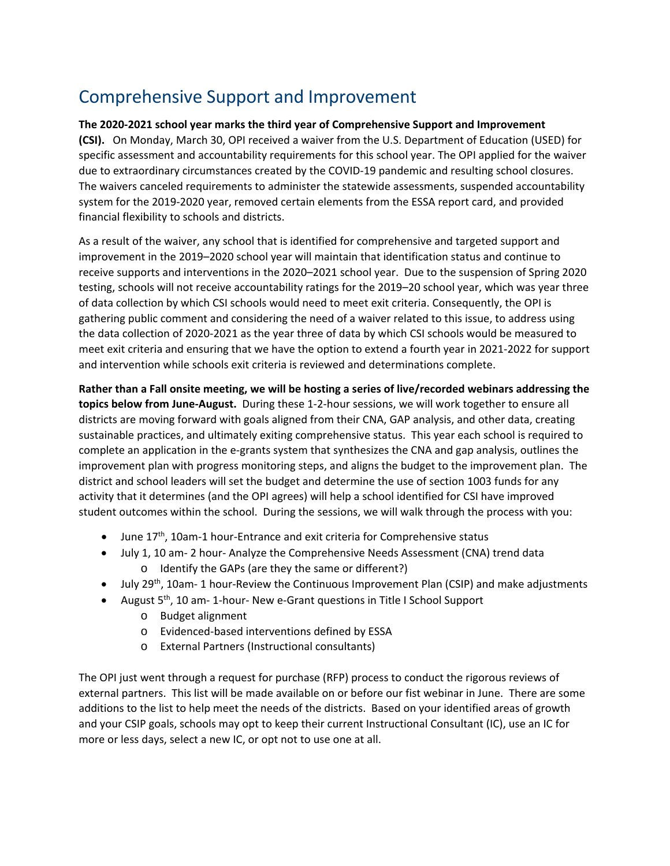# Comprehensive Support and Improvement

#### **The 2020-2021 school year marks the third year of Comprehensive Support and Improvement**

**(CSI).** On Monday, March 30, OPI received a waiver from the U.S. Department of Education (USED) for specific assessment and accountability requirements for this school year. The OPI applied for the waiver due to extraordinary circumstances created by the COVID-19 pandemic and resulting school closures. The waivers canceled requirements to administer the statewide assessments, suspended accountability system for the 2019-2020 year, removed certain elements from the ESSA report card, and provided financial flexibility to schools and districts.

As a result of the waiver, any school that is identified for comprehensive and targeted support and improvement in the 2019–2020 school year will maintain that identification status and continue to receive supports and interventions in the 2020–2021 school year. Due to the suspension of Spring 2020 testing, schools will not receive accountability ratings for the 2019–20 school year, which was year three of data collection by which CSI schools would need to meet exit criteria. Consequently, the OPI is gathering public comment and considering the need of a waiver related to this issue, to address using the data collection of 2020-2021 as the year three of data by which CSI schools would be measured to meet exit criteria and ensuring that we have the option to extend a fourth year in 2021-2022 for support and intervention while schools exit criteria is reviewed and determinations complete.

**Rather than a Fall onsite meeting, we will be hosting a series of live/recorded webinars addressing the topics below from June-August.** During these 1-2-hour sessions, we will work together to ensure all districts are moving forward with goals aligned from their CNA, GAP analysis, and other data, creating sustainable practices, and ultimately exiting comprehensive status. This year each school is required to complete an application in the e-grants system that synthesizes the CNA and gap analysis, outlines the improvement plan with progress monitoring steps, and aligns the budget to the improvement plan. The district and school leaders will set the budget and determine the use of section 1003 funds for any activity that it determines (and the OPI agrees) will help a school identified for CSI have improved student outcomes within the school. During the sessions, we will walk through the process with you:

- June  $17<sup>th</sup>$ , 10am-1 hour-Entrance and exit criteria for Comprehensive status
- July 1, 10 am- 2 hour- Analyze the Comprehensive Needs Assessment (CNA) trend data o Identify the GAPs (are they the same or different?)
- July 29<sup>th</sup>, 10am- 1 hour-Review the Continuous Improvement Plan (CSIP) and make adjustments
- August  $5<sup>th</sup>$ , 10 am-1-hour-New e-Grant questions in Title I School Support
	- o Budget alignment
	- o Evidenced-based interventions defined by ESSA
	- o External Partners (Instructional consultants)

The OPI just went through a request for purchase (RFP) process to conduct the rigorous reviews of external partners. This list will be made available on or before our fist webinar in June. There are some additions to the list to help meet the needs of the districts. Based on your identified areas of growth and your CSIP goals, schools may opt to keep their current Instructional Consultant (IC), use an IC for more or less days, select a new IC, or opt not to use one at all.